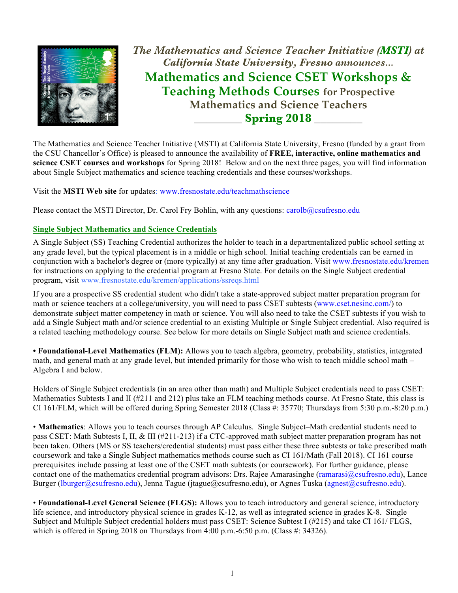

*The Mathematics and Science Teacher Initiative (MSTI) at California State University, Fresno announces...* **Mathematics and Science CSET Workshops & Teaching Methods Courses for Prospective Mathematics and Science Teachers Spring 2018** 

The Mathematics and Science Teacher Initiative (MSTI) at California State University, Fresno (funded by a grant from the CSU Chancellor's Office) is pleased to announce the availability of **FREE, interactive, online mathematics and science CSET courses and workshops** for Spring 2018! Below and on the next three pages, you will find information about Single Subject mathematics and science teaching credentials and these courses/workshops.

Visit the **MSTI Web site** for updates: www.fresnostate.edu/teachmathscience

Please contact the MSTI Director, Dr. Carol Fry Bohlin, with any questions: carolb@csufresno.edu

#### **Single Subject Mathematics and Science Credentials**

A Single Subject (SS) Teaching Credential authorizes the holder to teach in a departmentalized public school setting at any grade level, but the typical placement is in a middle or high school. Initial teaching credentials can be earned in conjunction with a bachelor's degree or (more typically) at any time after graduation. Visit www.fresnostate.edu/kremen for instructions on applying to the credential program at Fresno State. For details on the Single Subject credential program, visit www.fresnostate.edu/kremen/applications/ssreqs.html

If you are a prospective SS credential student who didn't take a state-approved subject matter preparation program for math or science teachers at a college/university, you will need to pass CSET subtests (www.cset.nesinc.com/) to demonstrate subject matter competency in math or science. You will also need to take the CSET subtests if you wish to add a Single Subject math and/or science credential to an existing Multiple or Single Subject credential. Also required is a related teaching methodology course. See below for more details on Single Subject math and science credentials.

**• Foundational-Level Mathematics (FLM):** Allows you to teach algebra, geometry, probability, statistics, integrated math, and general math at any grade level, but intended primarily for those who wish to teach middle school math – Algebra I and below.

Holders of Single Subject credentials (in an area other than math) and Multiple Subject credentials need to pass CSET: Mathematics Subtests I and II (#211 and 212) plus take an FLM teaching methods course. At Fresno State, this class is CI 161/FLM, which will be offered during Spring Semester 2018 (Class #: 35770; Thursdays from 5:30 p.m.-8:20 p.m.)

• **Mathematics**: Allows you to teach courses through AP Calculus. Single Subject–Math credential students need to pass CSET: Math Subtests I, II, & III (#211-213) if a CTC-approved math subject matter preparation program has not been taken. Others (MS or SS teachers/credential students) must pass either these three subtests or take prescribed math coursework and take a Single Subject mathematics methods course such as CI 161/Math (Fall 2018). CI 161 course prerequisites include passing at least one of the CSET math subtests (or coursework). For further guidance, please contact one of the mathematics credential program advisors: Drs. Rajee Amarasinghe (ramarasi $@csufresno.edu$ ), Lance Burger (lburger@csufresno.edu), Jenna Tague (jtague@csufresno.edu), or Agnes Tuska (agnest@csufresno.edu).

• **Foundational-Level General Science (FLGS):** Allows you to teach introductory and general science, introductory life science, and introductory physical science in grades K-12, as well as integrated science in grades K-8. Single Subject and Multiple Subject credential holders must pass CSET: Science Subtest I (#215) and take CI 161/ FLGS, which is offered in Spring 2018 on Thursdays from 4:00 p.m. -6:50 p.m. (Class #: 34326).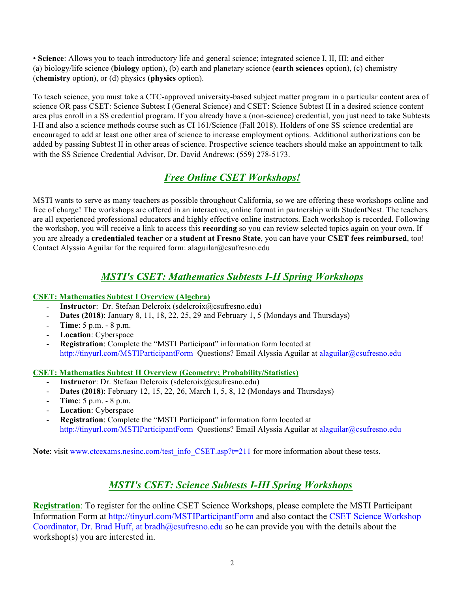• **Science**: Allows you to teach introductory life and general science; integrated science I, II, III; and either (a) biology/life science (**biology** option), (b) earth and planetary science (**earth sciences** option), (c) chemistry (**chemistry** option), or (d) physics (**physics** option).

To teach science, you must take a CTC-approved university-based subject matter program in a particular content area of science OR pass CSET: Science Subtest I (General Science) and CSET: Science Subtest II in a desired science content area plus enroll in a SS credential program. If you already have a (non-science) credential, you just need to take Subtests I-II and also a science methods course such as CI 161/Science (Fall 2018). Holders of one SS science credential are encouraged to add at least one other area of science to increase employment options. Additional authorizations can be added by passing Subtest II in other areas of science. Prospective science teachers should make an appointment to talk with the SS Science Credential Advisor, Dr. David Andrews: (559) 278-5173.

## *Free Online CSET Workshops!*

MSTI wants to serve as many teachers as possible throughout California, so we are offering these workshops online and free of charge! The workshops are offered in an interactive, online format in partnership with StudentNest. The teachers are all experienced professional educators and highly effective online instructors. Each workshop is recorded. Following the workshop, you will receive a link to access this **recording** so you can review selected topics again on your own. If you are already a **credentialed teacher** or a **student at Fresno State**, you can have your **CSET fees reimbursed**, too! Contact Alyssia Aguilar for the required form: alaguilar@csufresno.edu

## *MSTI's CSET: Mathematics Subtests I-II Spring Workshops*

### **CSET: Mathematics Subtest I Overview (Algebra)**

- **Instructor**: Dr. Stefaan Delcroix (sdelcroix@csufresno.edu)
- **Dates (2018)**: January 8, 11, 18, 22, 25, 29 and February 1, 5 (Mondays and Thursdays)
- **Time**: 5 p.m. 8 p.m.
- **Location**: Cyberspace
- **Registration**: Complete the "MSTI Participant" information form located at http://tinyurl.com/MSTIParticipantForm Questions? Email Alyssia Aguilar at alaguilar@csufresno.edu

### **CSET: Mathematics Subtest II Overview (Geometry; Probability/Statistics)**

- Instructor: Dr. Stefaan Delcroix (sdelcroix@csufresno.edu)
- **Dates (2018)**: February 12, 15, 22, 26, March 1, 5, 8, 12 (Mondays and Thursdays)
- **Time**: 5 p.m. 8 p.m.
- **Location**: Cyberspace
- **Registration**: Complete the "MSTI Participant" information form located at http://tinyurl.com/MSTIParticipantForm Questions? Email Alyssia Aguilar at alaguilar@csufresno.edu

Note: visit www.ctcexams.nesinc.com/test\_info\_CSET.asp?t=211 for more information about these tests.

# *MSTI's CSET: Science Subtests I-III Spring Workshops*

**Registration**: To register for the online CSET Science Workshops, please complete the MSTI Participant Information Form at http://tinyurl.com/MSTIParticipantForm and also contact the CSET Science Workshop Coordinator, Dr. Brad Huff, at bradh@csufresno.edu so he can provide you with the details about the workshop(s) you are interested in.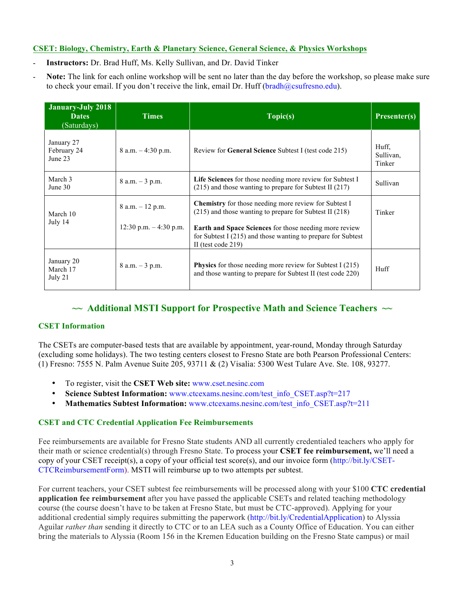#### **CSET: Biology, Chemistry, Earth & Planetary Science, General Science, & Physics Workshops**

- **Instructors:** Dr. Brad Huff, Ms. Kelly Sullivan, and Dr. David Tinker
- **Note:** The link for each online workshop will be sent no later than the day before the workshop, so please make sure to check your email. If you don't receive the link, email Dr. Huff (bradh@csufresno.edu).

| <b>January-July 2018</b><br><b>Dates</b><br>(Saturdays) | <b>Times</b>                                    | Topic(s)                                                                                                                                                                                                                                                                                | Presenter(s)                 |
|---------------------------------------------------------|-------------------------------------------------|-----------------------------------------------------------------------------------------------------------------------------------------------------------------------------------------------------------------------------------------------------------------------------------------|------------------------------|
| January 27<br>February 24<br>June 23                    | 8 a.m. $-4:30$ p.m.                             | Review for <b>General Science</b> Subtest I (test code 215)                                                                                                                                                                                                                             | Huff.<br>Sullivan,<br>Tinker |
| March 3<br>June $30$                                    | $8$ a.m. $-3$ p.m.                              | Life Sciences for those needing more review for Subtest I<br>$(215)$ and those wanting to prepare for Subtest II $(217)$                                                                                                                                                                | Sullivan                     |
| March 10<br>July 14                                     | $8 a.m. - 12 p.m.$<br>$12:30$ p.m. $-4:30$ p.m. | <b>Chemistry</b> for those needing more review for Subtest I<br>$(215)$ and those wanting to prepare for Subtest II $(218)$<br><b>Earth and Space Sciences</b> for those needing more review<br>for Subtest I $(215)$ and those wanting to prepare for Subtest<br>II (test code $219$ ) | Tinker                       |
| January 20<br>March 17<br>July 21                       | $8$ a.m. $-3$ p.m.                              | <b>Physics</b> for those needing more review for Subtest I (215)<br>and those wanting to prepare for Subtest II (test code 220)                                                                                                                                                         | Huff                         |

## **~~ Additional MSTI Support for Prospective Math and Science Teachers ~~**

#### **CSET Information**

The CSETs are computer-based tests that are available by appointment, year-round, Monday through Saturday (excluding some holidays). The two testing centers closest to Fresno State are both Pearson Professional Centers: (1) Fresno: 7555 N. Palm Avenue Suite 205, 93711 & (2) Visalia: 5300 West Tulare Ave. Ste. 108, 93277.

- To register, visit the **CSET Web site:** www.cset.nesinc.com
- **Science Subtest Information:** www.ctcexams.nesinc.com/test\_info\_CSET.asp?t=217
- **Mathematics Subtest Information:** www.ctcexams.nesinc.com/test\_info\_CSET.asp?t=211

#### **CSET and CTC Credential Application Fee Reimbursements**

Fee reimbursements are available for Fresno State students AND all currently credentialed teachers who apply for their math or science credential(s) through Fresno State. To process your **CSET fee reimbursement,** we'll need a copy of your CSET receipt(s), a copy of your official test score(s), and our invoice form (http://bit.ly/CSET-CTCReimbursementForm). MSTI will reimburse up to two attempts per subtest.

For current teachers, your CSET subtest fee reimbursements will be processed along with your \$100 **CTC credential application fee reimbursement** after you have passed the applicable CSETs and related teaching methodology course (the course doesn't have to be taken at Fresno State, but must be CTC-approved). Applying for your additional credential simply requires submitting the paperwork (http://bit.ly/CredentialApplication) to Alyssia Aguilar *rather than* sending it directly to CTC or to an LEA such as a County Office of Education. You can either bring the materials to Alyssia (Room 156 in the Kremen Education building on the Fresno State campus) or mail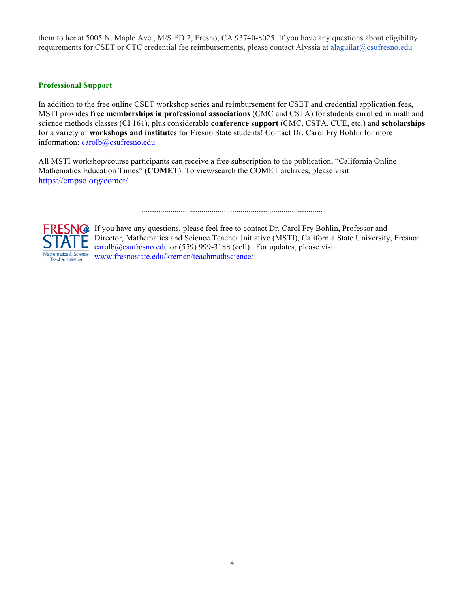them to her at 5005 N. Maple Ave., M/S ED 2, Fresno, CA 93740-8025. If you have any questions about eligibility requirements for CSET or CTC credential fee reimbursements, please contact Alyssia at alaguilar@csufresno.edu

#### **Professional Support**

In addition to the free online CSET workshop series and reimbursement for CSET and credential application fees, MSTI provides **free memberships in professional associations** (CMC and CSTA) for students enrolled in math and science methods classes (CI 161), plus considerable **conference support** (CMC, CSTA, CUE, etc.) and **scholarships** for a variety of **workshops and institutes** for Fresno State students! Contact Dr. Carol Fry Bohlin for more information: carolb@csufresno.edu

All MSTI workshop/course participants can receive a free subscription to the publication, "California Online Mathematics Education Times" (**COMET**). To view/search the COMET archives, please visit https://cmpso.org/comet/

........................................................................................



FRESNG If you have any questions, please feel free to contact Dr. Carol Fry Bohlin, Professor and Director, Mathematics and Science Teacher Initiative (MSTI), California State University, Fresno: carolb@csufresno.edu or (559) 999-3188 (cell). For updates, please visit www.fresnostate.edu/kremen/teachmathscience/